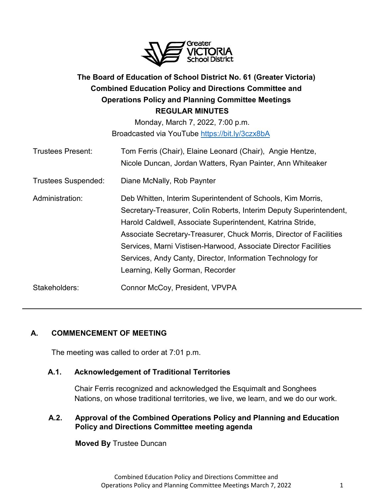

# **The Board of Education of School District No. 61 (Greater Victoria) Combined Education Policy and Directions Committee and Operations Policy and Planning Committee Meetings REGULAR MINUTES**

Monday, March 7, 2022, 7:00 p.m. Broadcasted via YouTube<https://bit.ly/3czx8bA>

| <b>Trustees Present:</b>   | Tom Ferris (Chair), Elaine Leonard (Chair), Angie Hentze,<br>Nicole Duncan, Jordan Watters, Ryan Painter, Ann Whiteaker                                                                                                                                                                                                                                                                                                                     |
|----------------------------|---------------------------------------------------------------------------------------------------------------------------------------------------------------------------------------------------------------------------------------------------------------------------------------------------------------------------------------------------------------------------------------------------------------------------------------------|
| <b>Trustees Suspended:</b> | Diane McNally, Rob Paynter                                                                                                                                                                                                                                                                                                                                                                                                                  |
| Administration:            | Deb Whitten, Interim Superintendent of Schools, Kim Morris,<br>Secretary-Treasurer, Colin Roberts, Interim Deputy Superintendent,<br>Harold Caldwell, Associate Superintendent, Katrina Stride,<br>Associate Secretary-Treasurer, Chuck Morris, Director of Facilities<br>Services, Marni Vistisen-Harwood, Associate Director Facilities<br>Services, Andy Canty, Director, Information Technology for<br>Learning, Kelly Gorman, Recorder |
| Stakeholders:              | Connor McCoy, President, VPVPA                                                                                                                                                                                                                                                                                                                                                                                                              |

# **A. COMMENCEMENT OF MEETING**

The meeting was called to order at 7:01 p.m.

### **A.1. Acknowledgement of Traditional Territories**

Chair Ferris recognized and acknowledged the Esquimalt and Songhees Nations, on whose traditional territories, we live, we learn, and we do our work.

### **A.2. Approval of the Combined Operations Policy and Planning and Education Policy and Directions Committee meeting agenda**

**Moved By** Trustee Duncan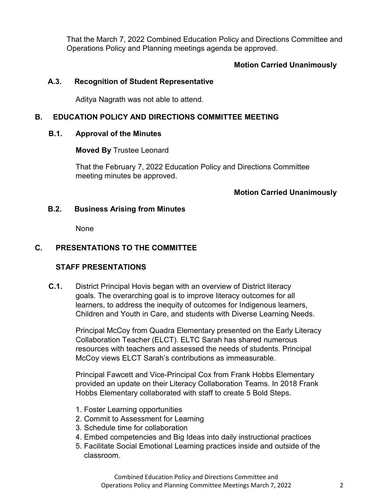That the March 7, 2022 Combined Education Policy and Directions Committee and Operations Policy and Planning meetings agenda be approved.

#### **Motion Carried Unanimously**

#### **A.3. Recognition of Student Representative**

Aditya Nagrath was not able to attend.

#### **B. EDUCATION POLICY AND DIRECTIONS COMMITTEE MEETING**

#### **B.1. Approval of the Minutes**

**Moved By** Trustee Leonard

That the February 7, 2022 Education Policy and Directions Committee meeting minutes be approved.

#### **Motion Carried Unanimously**

#### **B.2. Business Arising from Minutes**

None

### **C. PRESENTATIONS TO THE COMMITTEE**

#### **STAFF PRESENTATIONS**

**C.1.** District Principal Hovis began with an overview of District literacy goals. The overarching goal is to improve literacy outcomes for all learners, to address the inequity of outcomes for Indigenous learners, Children and Youth in Care, and students with Diverse Learning Needs.

> Principal McCoy from Quadra Elementary presented on the Early Literacy Collaboration Teacher (ELCT). ELTC Sarah has shared numerous resources with teachers and assessed the needs of students. Principal McCoy views ELCT Sarah's contributions as immeasurable.

Principal Fawcett and Vice-Principal Cox from Frank Hobbs Elementary provided an update on their Literacy Collaboration Teams. In 2018 Frank Hobbs Elementary collaborated with staff to create 5 Bold Steps.

- 1. Foster Learning opportunities
- 2. Commit to Assessment for Learning
- 3. Schedule time for collaboration
- 4. Embed competencies and Big Ideas into daily instructional practices
- 5. Facilitate Social Emotional Learning practices inside and outside of the classroom.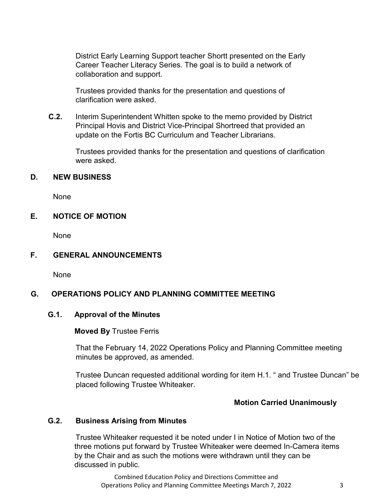District Early Learning Support teacher Shortt presented on the Early Career Teacher Literacy Series. The goal is to build a network of collaboration and support.

Trustees provided thanks for the presentation and questions of clarification were asked.

**C.2.** Interim Superintendent Whitten spoke to the memo provided by District Principal Hovis and District Vice-Principal Shortreed that provided an update on the Fortis BC Curriculum and Teacher Librarians.

> Trustees provided thanks for the presentation and questions of clarification were asked.

#### **D. NEW BUSINESS**

None

### **E. NOTICE OF MOTION**

None

### **F. GENERAL ANNOUNCEMENTS**

None

### **G. OPERATIONS POLICY AND PLANNING COMMITTEE MEETING**

#### **G.1. Approval of the Minutes**

#### **Moved By** Trustee Ferris

That the February 14, 2022 Operations Policy and Planning Committee meeting minutes be approved, as amended.

Trustee Duncan requested additional wording for item H.1. " and Trustee Duncan" be placed following Trustee Whiteaker.

#### **Motion Carried Unanimously**

#### **G.2. Business Arising from Minutes**

Trustee Whiteaker requested it be noted under I in Notice of Motion two of the three motions put forward by Trustee Whiteaker were deemed In-Camera items by the Chair and as such the motions were withdrawn until they can be discussed in public.

Combined Education Policy and Directions Committee and Operations Policy and Planning Committee Meetings March 7, 2022 3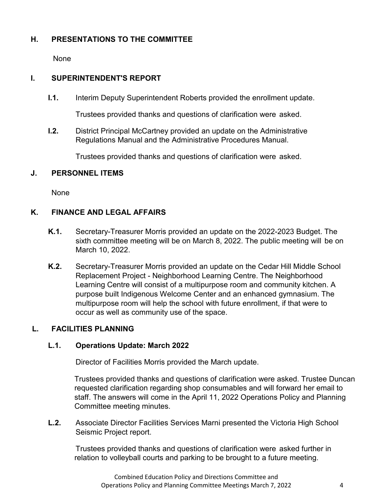## **H. PRESENTATIONS TO THE COMMITTEE**

None

### **I. SUPERINTENDENT'S REPORT**

**I.1.** Interim Deputy Superintendent Roberts provided the enrollment update.

Trustees provided thanks and questions of clarification were asked.

**I.2.** District Principal McCartney provided an update on the Administrative Regulations Manual and the Administrative Procedures Manual.

Trustees provided thanks and questions of clarification were asked.

### **J. PERSONNEL ITEMS**

None

# **K. FINANCE AND LEGAL AFFAIRS**

- **K.1.** Secretary-Treasurer Morris provided an update on the 2022-2023 Budget. The sixth committee meeting will be on March 8, 2022. The public meeting will be on March 10, 2022.
- **K.2.** Secretary-Treasurer Morris provided an update on the Cedar Hill Middle School Replacement Project - Neighborhood Learning Centre. The Neighborhood Learning Centre will consist of a multipurpose room and community kitchen. A purpose built Indigenous Welcome Center and an enhanced gymnasium. The multipurpose room will help the school with future enrollment, if that were to occur as well as community use of the space.

# **L. FACILITIES PLANNING**

### **L.1. Operations Update: March 2022**

Director of Facilities Morris provided the March update.

Trustees provided thanks and questions of clarification were asked. Trustee Duncan requested clarification regarding shop consumables and will forward her email to staff. The answers will come in the April 11, 2022 Operations Policy and Planning Committee meeting minutes.

**L.2.** Associate Director Facilities Services Marni presented the Victoria High School Seismic Project report.

Trustees provided thanks and questions of clarification were asked further in relation to volleyball courts and parking to be brought to a future meeting.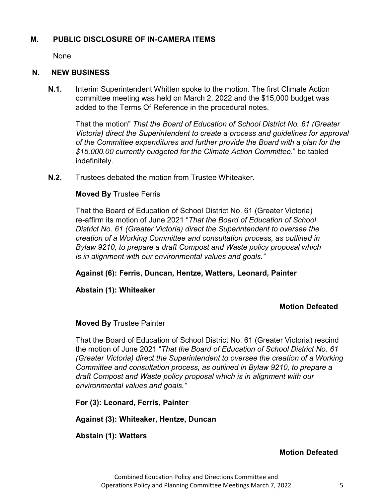#### **M. PUBLIC DISCLOSURE OF IN-CAMERA ITEMS**

None

#### **N. NEW BUSINESS**

**N.1.** Interim Superintendent Whitten spoke to the motion. The first Climate Action committee meeting was held on March 2, 2022 and the \$15,000 budget was added to the Terms Of Reference in the procedural notes.

That the motion" *That the Board of Education of School District No. 61 (Greater Victoria) direct the Superintendent to create a process and guidelines for approval of the Committee expenditures and further provide the Board with a plan for the \$15,000.00 currently budgeted for the Climate Action Committee*." be tabled indefinitely.

**N.2.** Trustees debated the motion from Trustee Whiteaker.

#### **Moved By** Trustee Ferris

That the Board of Education of School District No. 61 (Greater Victoria) re-affirm its motion of June 2021 "*That the Board of Education of School District No. 61 (Greater Victoria) direct the Superintendent to oversee the creation of a Working Committee and consultation process, as outlined in Bylaw 9210, to prepare a draft Compost and Waste policy proposal which is in alignment with our environmental values and goals."*

**Against (6): Ferris, Duncan, Hentze, Watters, Leonard, Painter**

### **Abstain (1): Whiteaker**

#### **Motion Defeated**

#### **Moved By** Trustee Painter

That the Board of Education of School District No. 61 (Greater Victoria) rescind the motion of June 2021 "*That the Board of Education of School District No. 61 (Greater Victoria) direct the Superintendent to oversee the creation of a Working Committee and consultation process, as outlined in Bylaw 9210, to prepare a draft Compost and Waste policy proposal which is in alignment with our environmental values and goals."*

**For (3): Leonard, Ferris, Painter** 

**Against (3): Whiteaker, Hentze, Duncan**

### **Abstain (1): Watters**

### **Motion Defeated**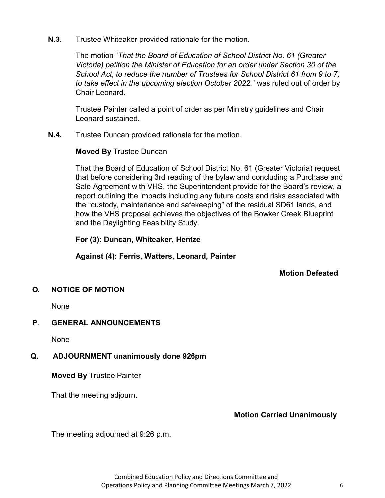**N.3.** Trustee Whiteaker provided rationale for the motion.

The motion "*That the Board of Education of School District No. 61 (Greater Victoria) petition the Minister of Education for an order under Section 30 of the School Act, to reduce the number of Trustees for School District 61 from 9 to 7, to take effect in the upcoming election October 2022.*" was ruled out of order by Chair Leonard.

Trustee Painter called a point of order as per Ministry guidelines and Chair Leonard sustained.

**N.4.** Trustee Duncan provided rationale for the motion.

#### **Moved By** Trustee Duncan

That the Board of Education of School District No. 61 (Greater Victoria) request that before considering 3rd reading of the bylaw and concluding a Purchase and Sale Agreement with VHS, the Superintendent provide for the Board's review, a report outlining the impacts including any future costs and risks associated with the "custody, maintenance and safekeeping" of the residual SD61 lands, and how the VHS proposal achieves the objectives of the Bowker Creek Blueprint and the Daylighting Feasibility Study.

**For (3): Duncan, Whiteaker, Hentze**

**Against (4): Ferris, Watters, Leonard, Painter**

**Motion Defeated**

### **O. NOTICE OF MOTION**

None

### **P. GENERAL ANNOUNCEMENTS**

None

# **Q. ADJOURNMENT unanimously done 926pm**

**Moved By** Trustee Painter

That the meeting adjourn.

# **Motion Carried Unanimously**

The meeting adjourned at 9:26 p.m.